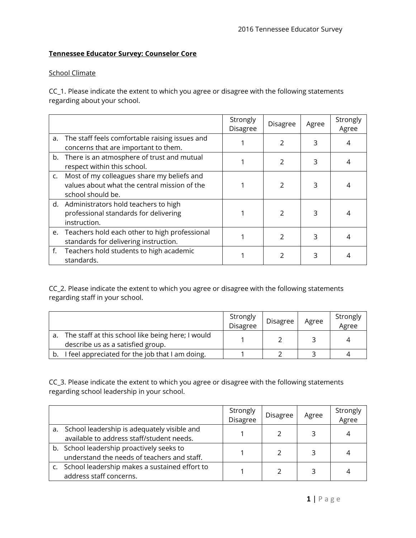## **Tennessee Educator Survey: Counselor Core**

## School Climate

CC\_1. Please indicate the extent to which you agree or disagree with the following statements regarding about your school.

|    |                                                                                                                    | Strongly<br><b>Disagree</b> | <b>Disagree</b> | Agree | Strongly<br>Agree |
|----|--------------------------------------------------------------------------------------------------------------------|-----------------------------|-----------------|-------|-------------------|
| a. | The staff feels comfortable raising issues and<br>concerns that are important to them.                             |                             | $\mathcal{P}$   | 3     | 4                 |
|    | b. There is an atmosphere of trust and mutual<br>respect within this school.                                       |                             | $\mathcal{P}$   | 3     | 4                 |
|    | c. Most of my colleagues share my beliefs and<br>values about what the central mission of the<br>school should be. |                             | $\mathcal{P}$   | 3     | 4                 |
|    | d. Administrators hold teachers to high<br>professional standards for delivering<br>instruction.                   |                             | $\mathcal{P}$   | 3     | 4                 |
|    | e. Teachers hold each other to high professional<br>standards for delivering instruction.                          |                             | $\mathcal{P}$   | ς     | 4                 |
| f. | Teachers hold students to high academic<br>standards.                                                              |                             | $\mathcal{P}$   | 3     |                   |

CC\_2. Please indicate the extent to which you agree or disagree with the following statements regarding staff in your school.

|                                                                                        | Strongly<br>Disagree | Disagree | Agree | Strongly<br>Agree |
|----------------------------------------------------------------------------------------|----------------------|----------|-------|-------------------|
| The staff at this school like being here; I would<br>describe us as a satisfied group. |                      |          |       | 4                 |
| feel appreciated for the job that I am doing.                                          |                      |          |       |                   |

CC\_3. Please indicate the extent to which you agree or disagree with the following statements regarding school leadership in your school.

|                                                                                             | Strongly<br>Disagree | Disagree | Agree | Strongly<br>Agree |
|---------------------------------------------------------------------------------------------|----------------------|----------|-------|-------------------|
| a. School leadership is adequately visible and<br>available to address staff/student needs. |                      |          |       | 4                 |
| b. School leadership proactively seeks to<br>understand the needs of teachers and staff.    |                      |          |       |                   |
| School leadership makes a sustained effort to<br>address staff concerns.                    |                      |          |       | 4                 |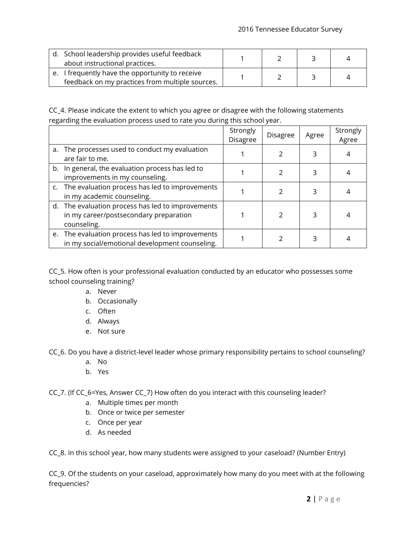| d. School leadership provides useful feedback<br>about instructional practices.                    |  |  |
|----------------------------------------------------------------------------------------------------|--|--|
| e. I frequently have the opportunity to receive<br>feedback on my practices from multiple sources. |  |  |

CC\_4. Please indicate the extent to which you agree or disagree with the following statements regarding the evaluation process used to rate you during this school year.

|                                                                                                            | Strongly<br><b>Disagree</b> | <b>Disagree</b> | Agree | Strongly<br>Agree |
|------------------------------------------------------------------------------------------------------------|-----------------------------|-----------------|-------|-------------------|
| a. The processes used to conduct my evaluation<br>are fair to me.                                          |                             |                 | 3     |                   |
| b. In general, the evaluation process has led to<br>improvements in my counseling.                         |                             | $\mathcal{P}$   | 3     |                   |
| c. The evaluation process has led to improvements<br>in my academic counseling.                            |                             | <sup>2</sup>    | 3     |                   |
| d. The evaluation process has led to improvements<br>in my career/postsecondary preparation<br>counseling. |                             |                 | 3     |                   |
| e. The evaluation process has led to improvements<br>in my social/emotional development counseling.        |                             |                 | 3     |                   |

CC\_5. How often is your professional evaluation conducted by an educator who possesses some school counseling training?

- a. Never
- b. Occasionally
- c. Often
- d. Always
- e. Not sure

CC\_6. Do you have a district-level leader whose primary responsibility pertains to school counseling?

- a. No
- b. Yes

CC\_7. (If CC\_6=Yes, Answer CC\_7) How often do you interact with this counseling leader?

- a. Multiple times per month
- b. Once or twice per semester
- c. Once per year
- d. As needed

CC\_8. In this school year, how many students were assigned to your caseload? (Number Entry)

CC\_9. Of the students on your caseload, approximately how many do you meet with at the following frequencies?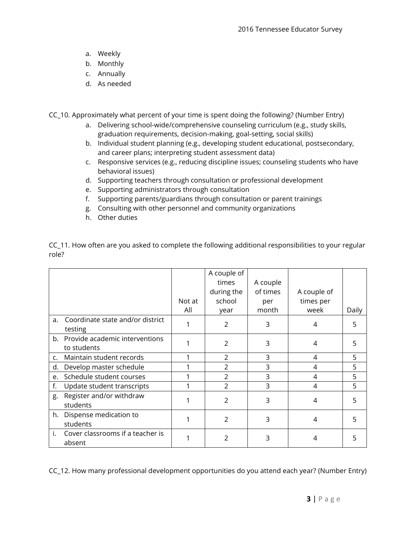- a. Weekly
- b. Monthly
- c. Annually
- d. As needed

CC\_10. Approximately what percent of your time is spent doing the following? (Number Entry)

- a. Delivering school-wide/comprehensive counseling curriculum (e.g., study skills, graduation requirements, decision-making, goal-setting, social skills)
- b. Individual student planning (e.g., developing student educational, postsecondary, and career plans; interpreting student assessment data)
- c. Responsive services (e.g., reducing discipline issues; counseling students who have behavioral issues)
- d. Supporting teachers through consultation or professional development
- e. Supporting administrators through consultation
- f. Supporting parents/guardians through consultation or parent trainings
- g. Consulting with other personnel and community organizations
- h. Other duties

|    |                                   |        | A couple of   |          |                |       |
|----|-----------------------------------|--------|---------------|----------|----------------|-------|
|    |                                   |        | times         | A couple |                |       |
|    |                                   |        | during the    | of times | A couple of    |       |
|    |                                   | Not at | school        | per      | times per      |       |
|    |                                   | All    | year          | month    | week           | Daily |
| a. | Coordinate state and/or district  |        | 2             | 3        | 4              | 5     |
|    | testing                           |        |               |          |                |       |
|    | b. Provide academic interventions |        | $\mathcal{P}$ | 3        | 4              | 5     |
|    | to students                       |        |               |          |                |       |
| c. | Maintain student records          |        | 2             | 3        | 4              | 5     |
| d. | Develop master schedule           |        | 2             | 3        | 4              | 5     |
| e. | Schedule student courses          |        | 2             | 3        | 4              | 5     |
| f. | Update student transcripts        |        | 2             | 3        | 4              | 5     |
| g. | Register and/or withdraw          |        | $\mathcal{P}$ | 3        | $\overline{4}$ |       |
|    | students                          |        |               |          |                |       |
| h. | Dispense medication to            |        | $\mathcal{P}$ | 3        | $\overline{4}$ |       |
|    | students                          |        |               |          |                |       |
| i. | Cover classrooms if a teacher is  |        |               | 3        | 4              |       |
|    | absent                            |        |               |          |                |       |

CC\_11. How often are you asked to complete the following additional responsibilities to your regular role?

CC\_12. How many professional development opportunities do you attend each year? (Number Entry)